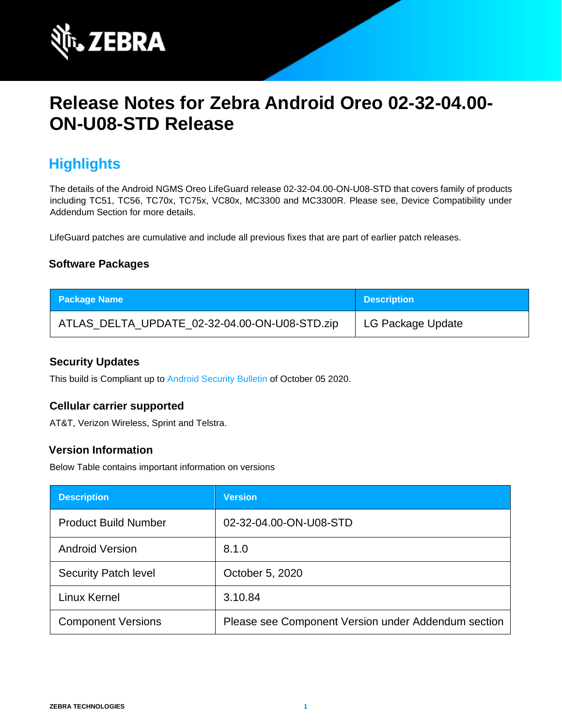

# **Release Notes for Zebra Android Oreo 02-32-04.00- ON-U08-STD Release**

# **Highlights**

The details of the Android NGMS Oreo LifeGuard release 02-32-04.00-ON-U08-STD that covers family of products including TC51, TC56, TC70x, TC75x, VC80x, MC3300 and MC3300R. Please see, Device Compatibility under Addendum Section for more details.

LifeGuard patches are cumulative and include all previous fixes that are part of earlier patch releases.

### **Software Packages**

| <b>Package Name</b>                           | Description       |
|-----------------------------------------------|-------------------|
| ATLAS_DELTA_UPDATE_02-32-04.00-ON-U08-STD.zip | LG Package Update |

#### **Security Updates**

This build is Compliant up to [Android Security Bulletin](https://source.android.com/security/bulletin/) of October 05 2020.

#### **Cellular carrier supported**

AT&T, Verizon Wireless, Sprint and Telstra.

#### **Version Information**

Below Table contains important information on versions

| <b>Description</b>          | <b>Version</b>                                      |
|-----------------------------|-----------------------------------------------------|
| <b>Product Build Number</b> | 02-32-04.00-ON-U08-STD                              |
| <b>Android Version</b>      | 8.1.0                                               |
| <b>Security Patch level</b> | October 5, 2020                                     |
| Linux Kernel                | 3.10.84                                             |
| <b>Component Versions</b>   | Please see Component Version under Addendum section |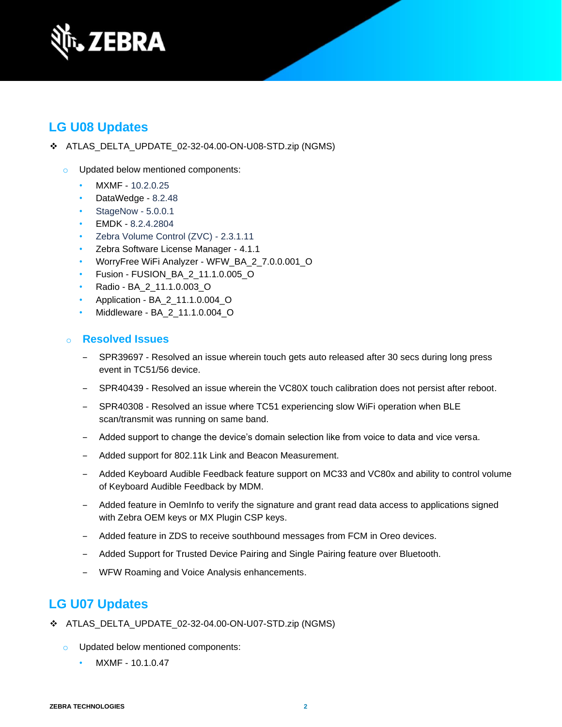

# **LG U08 Updates**

- ❖ ATLAS\_DELTA\_UPDATE\_02-32-04.00-ON-U08-STD.zip (NGMS)
	- o Updated below mentioned components:
		- MXMF 10.2.0.25
		- DataWedge 8.2.48
		- StageNow 5.0.0.1
		- EMDK 8.2.4.2804
		- Zebra Volume Control (ZVC) 2.3.1.11
		- Zebra Software License Manager 4.1.1
		- WorryFree WiFi Analyzer WFW\_BA\_2\_7.0.0.001\_O
		- Fusion FUSION\_BA\_2\_11.1.0.005\_O
		- Radio BA\_2\_11.1.0.003\_O
		- Application BA\_2\_11.1.0.004\_O
		- Middleware BA\_2\_11.1.0.004\_O

### o **Resolved Issues**

- SPR39697 Resolved an issue wherein touch gets auto released after 30 secs during long press event in TC51/56 device.
- ‒ SPR40439 Resolved an issue wherein the VC80X touch calibration does not persist after reboot.
- ‒ SPR40308 Resolved an issue where TC51 experiencing slow WiFi operation when BLE scan/transmit was running on same band.
- ‒ Added support to change the device's domain selection like from voice to data and vice versa.
- Added support for 802.11k Link and Beacon Measurement.
- ‒ Added Keyboard Audible Feedback feature support on MC33 and VC80x and ability to control volume of Keyboard Audible Feedback by MDM.
- ‒ Added feature in OemInfo to verify the signature and grant read data access to applications signed with Zebra OEM keys or MX Plugin CSP keys.
- ‒ Added feature in ZDS to receive southbound messages from FCM in Oreo devices.
- ‒ Added Support for Trusted Device Pairing and Single Pairing feature over Bluetooth.
- ‒ WFW Roaming and Voice Analysis enhancements.

# **LG U07 Updates**

- ❖ ATLAS\_DELTA\_UPDATE\_02-32-04.00-ON-U07-STD.zip (NGMS)
	- o Updated below mentioned components:
		- MXMF 10.1.0.47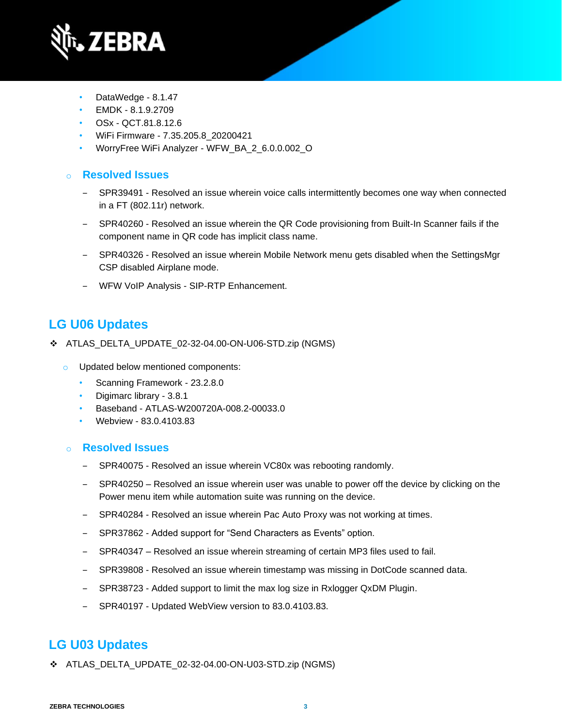

- DataWedge 8.1.47
- EMDK 8.1.9.2709
- OSx QCT.81.8.12.6
- WiFi Firmware 7.35.205.8\_20200421
- WorryFree WiFi Analyzer WFW\_BA\_2\_6.0.0.002\_O

### o **Resolved Issues**

- ‒ SPR39491 Resolved an issue wherein voice calls intermittently becomes one way when connected in a FT (802.11r) network.
- ‒ SPR40260 Resolved an issue wherein the QR Code provisioning from Built-In Scanner fails if the component name in QR code has implicit class name.
- ‒ SPR40326 Resolved an issue wherein Mobile Network menu gets disabled when the SettingsMgr CSP disabled Airplane mode.
- ‒ WFW VoIP Analysis SIP-RTP Enhancement.

# **LG U06 Updates**

- ❖ ATLAS\_DELTA\_UPDATE\_02-32-04.00-ON-U06-STD.zip (NGMS)
	- o Updated below mentioned components:
		- Scanning Framework 23.2.8.0
		- Digimarc library 3.8.1
		- Baseband ATLAS-W200720A-008.2-00033.0
		- Webview 83.0.4103.83

### o **Resolved Issues**

- SPR40075 Resolved an issue wherein VC80x was rebooting randomly.
- SPR40250 Resolved an issue wherein user was unable to power off the device by clicking on the Power menu item while automation suite was running on the device.
- ‒ SPR40284 Resolved an issue wherein Pac Auto Proxy was not working at times.
- ‒ SPR37862 Added support for "Send Characters as Events" option.
- ‒ SPR40347 Resolved an issue wherein streaming of certain MP3 files used to fail.
- ‒ SPR39808 Resolved an issue wherein timestamp was missing in DotCode scanned data.
- ‒ SPR38723 Added support to limit the max log size in Rxlogger QxDM Plugin.
- ‒ SPR40197 Updated WebView version to 83.0.4103.83.

# **LG U03 Updates**

❖ ATLAS\_DELTA\_UPDATE\_02-32-04.00-ON-U03-STD.zip (NGMS)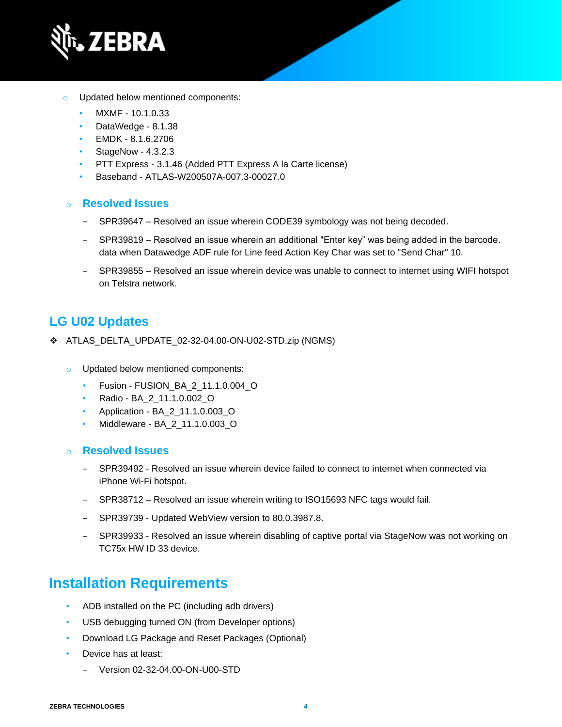

- o Updated below mentioned components:
	- MXMF 10.1.0.33
	- DataWedge 8.1.38
	- EMDK 8.1.6.2706
	- StageNow 4.3.2.3
	- PTT Express 3.1.46 (Added PTT Express A la Carte license)
	- Baseband ATLAS-W200507A-007.3-00027.0

#### o **Resolved Issues**

- ‒ SPR39647 Resolved an issue wherein CODE39 symbology was not being decoded.
- ‒ SPR39819 Resolved an issue wherein an additional "Enter key" was being added in the barcode. data when Datawedge ADF rule for Line feed Action Key Char was set to "Send Char" 10.
- ‒ SPR39855 Resolved an issue wherein device was unable to connect to internet using WIFI hotspot on Telstra network.

### **LG U02 Updates**

- ❖ ATLAS\_DELTA\_UPDATE\_02-32-04.00-ON-U02-STD.zip (NGMS)
	- o Updated below mentioned components:
		- Fusion FUSION\_BA\_2\_11.1.0.004\_O
		- Radio BA\_2\_11.1.0.002\_O
		- Application BA\_2\_11.1.0.003\_O
		- Middleware BA\_2\_11.1.0.003\_O
	- o **Resolved Issues** 
		- ‒ SPR39492 Resolved an issue wherein device failed to connect to internet when connected via iPhone Wi-Fi hotspot.
		- SPR38712 Resolved an issue wherein writing to ISO15693 NFC tags would fail.
		- ‒ SPR39739 Updated WebView version to 80.0.3987.8.
		- ‒ SPR39933 Resolved an issue wherein disabling of captive portal via StageNow was not working on TC75x HW ID 33 device.

# **Installation Requirements**

- ADB installed on the PC (including adb drivers)
- USB debugging turned ON (from Developer options)
- Download LG Package and Reset Packages (Optional)
- Device has at least:
	- ‒ Version 02-32-04.00-ON-U00-STD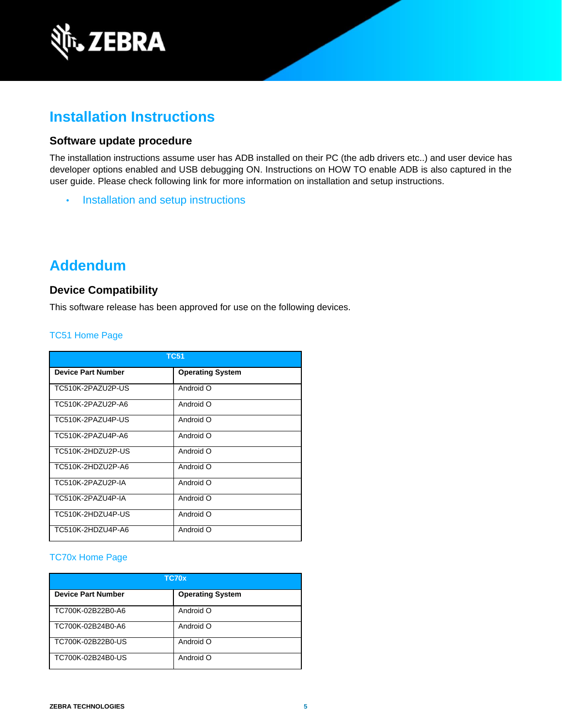

# **Installation Instructions**

#### **Software update procedure**

The installation instructions assume user has ADB installed on their PC (the adb drivers etc..) and user device has developer options enabled and USB debugging ON. Instructions on HOW TO enable ADB is also captured in the user guide. Please check following link for more information on installation and setup instructions.

• [Installation and setup instructions](https://www.zebra.com/content/dam/zebra_new_ia/en-us/software/operating-system/tc5x-tc7x-shared-operating-system/atlas_oreo-os-update-instructions.pdf)

# **Addendum**

#### **Device Compatibility**

This software release has been approved for use on the following devices.

#### [TC51 Home Page](https://www.zebra.com/us/en/support-downloads/mobile-computers/handheld/tc51.html)

| <b>TC51</b>               |                         |  |
|---------------------------|-------------------------|--|
| <b>Device Part Number</b> | <b>Operating System</b> |  |
| TC510K-2PAZU2P-US         | Android O               |  |
| TC510K-2PAZU2P-A6         | Android O               |  |
| TC510K-2PAZU4P-US         | Android O               |  |
| TC510K-2PAZU4P-A6         | Android O               |  |
| TC510K-2HDZU2P-US         | Android O               |  |
| TC510K-2HDZU2P-A6         | Android O               |  |
| TC510K-2PA7U2P-IA         | Android O               |  |
| TC510K-2PAZU4P-IA         | Android O               |  |
| TC510K-2HDZU4P-US         | Android O               |  |
| TC510K-2HDZU4P-A6         | Android O               |  |

#### [TC70x Home Page](https://www.zebra.com/us/en/support-downloads/mobile-computers/handheld/tc70x.html)

| TC70x                     |                         |  |
|---------------------------|-------------------------|--|
| <b>Device Part Number</b> | <b>Operating System</b> |  |
| TC700K-02B22B0-A6         | Android O               |  |
| TC700K-02B24B0-A6         | Android O               |  |
| TC700K-02B22B0-US         | Android O               |  |
| TC700K-02B24B0-US         | Android O               |  |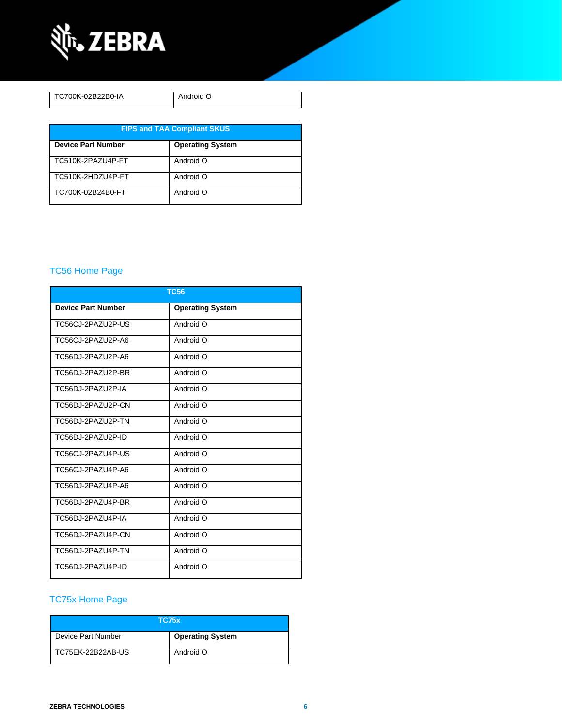

| TC700K-02B22B0-IA                  | Android O               |  |  |
|------------------------------------|-------------------------|--|--|
| <b>FIPS and TAA Compliant SKUS</b> |                         |  |  |
| <b>Device Part Number</b>          | <b>Operating System</b> |  |  |
| TC510K-2PAZU4P-FT                  | Android O               |  |  |
| TC510K-2HDZU4P-FT                  | Android O               |  |  |
| TC700K-02B24B0-FT                  | Android O               |  |  |

### [TC56 Home Page](https://www.zebra.com/us/en/support-downloads/mobile-computers/handheld/tc56.html)

| <b>TC56</b>               |                         |  |  |
|---------------------------|-------------------------|--|--|
| <b>Device Part Number</b> | <b>Operating System</b> |  |  |
| TC56CJ-2PAZU2P-US         | Android O               |  |  |
| TC56CJ-2PAZU2P-A6         | Android O               |  |  |
| TC56DJ-2PAZU2P-A6         | Android O               |  |  |
| TC56DJ-2PAZU2P-BR         | Android O               |  |  |
| TC56DJ-2PAZU2P-IA         | Android O               |  |  |
| TC56DJ-2PAZU2P-CN         | Android O               |  |  |
| TC56DJ-2PAZU2P-TN         | Android O               |  |  |
| TC56DJ-2PAZU2P-ID         | Android O               |  |  |
| TC56CJ-2PAZU4P-US         | Android O               |  |  |
| TC56CJ-2PAZU4P-A6         | Android O               |  |  |
| TC56DJ-2PAZU4P-A6         | Android O               |  |  |
| TC56DJ-2PAZU4P-BR         | Android O               |  |  |
| TC56DJ-2PAZU4P-IA         | Android O               |  |  |
| TC56DJ-2PAZU4P-CN         | Android O               |  |  |
| TC56DJ-2PAZU4P-TN         | Android O               |  |  |
| TC56DJ-2PAZU4P-ID         | Android O               |  |  |

### [TC75x Home Page](https://www.zebra.com/us/en/support-downloads/mobile-computers/handheld/tc75x.html)

| <b>TC75x</b>       |                         |  |
|--------------------|-------------------------|--|
| Device Part Number | <b>Operating System</b> |  |
| TC75EK-22B22AB-US  | Android O               |  |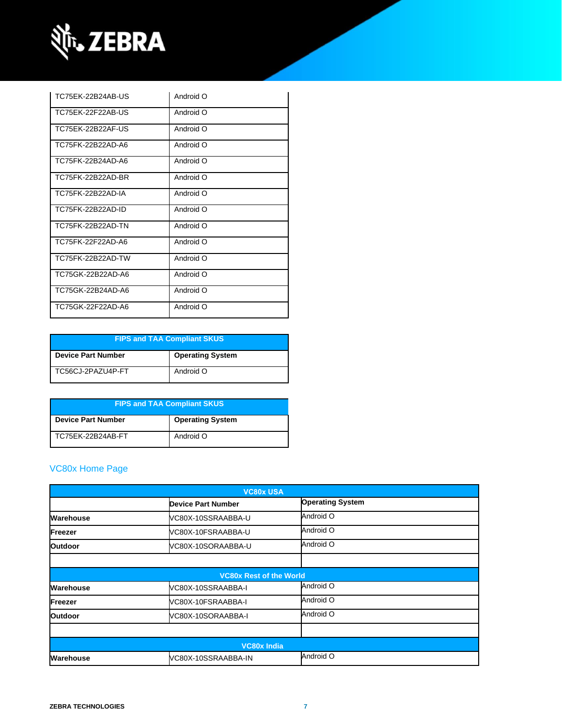

| TC75FK-22B24AB-US | Android O |
|-------------------|-----------|
| TC75FK-22F22AB-US | Android O |
| TC75FK-22B22AF-US | Android O |
| TC75FK-22B22AD-A6 | Android O |
| TC75FK-22B24AD-A6 | Android O |
| TC75FK-22B22AD-BR | Android O |
| TC75FK-22B22AD-IA | Android O |
| TC75FK-22B22AD-ID | Android O |
| TC75FK-22B22AD-TN | Android O |
| TC75FK-22F22AD-A6 | Android O |
| TC75FK-22B22AD-TW | Android O |
| TC75GK-22B22AD-A6 | Android O |
| TC75GK-22B24AD-A6 | Android O |
| TC75GK-22F22AD-A6 | Android O |

| <b>FIPS and TAA Compliant SKUS</b> |                         |  |
|------------------------------------|-------------------------|--|
| <b>Device Part Number</b>          | <b>Operating System</b> |  |
| TC56CJ-2PAZU4P-FT                  | Android O               |  |

| <b>FIPS and TAA Compliant SKUS</b> |                         |  |
|------------------------------------|-------------------------|--|
| <b>Device Part Number</b>          | <b>Operating System</b> |  |
| TC75EK-22B24AB-FT                  | Android O               |  |

### [VC80x Home Page](https://www.zebra.com/us/en/support-downloads/mobile-computers/vehicle-mounted/vc80x.html)

| <b>VC80x USA</b> |                                |                         |  |
|------------------|--------------------------------|-------------------------|--|
|                  | <b>Device Part Number</b>      | <b>Operating System</b> |  |
| Warehouse        | VC80X-10SSRAABBA-U             | Android O               |  |
| Freezer          | VC80X-10FSRAABBA-U             | Android O               |  |
| <b>Outdoor</b>   | VC80X-10SORAABBA-U             | Android O               |  |
|                  |                                |                         |  |
|                  | <b>VC80x Rest of the World</b> |                         |  |
| Warehouse        | VC80X-10SSRAABBA-I             | Android O               |  |
| Freezer          | VC80X-10FSRAABBA-I             | Android O               |  |
| <b>Outdoor</b>   | VC80X-10SORAABBA-I             | Android O               |  |
|                  |                                |                         |  |
|                  | <b>VC80x India</b>             |                         |  |
| Warehouse        | VC80X-10SSRAABBA-IN            | Android O               |  |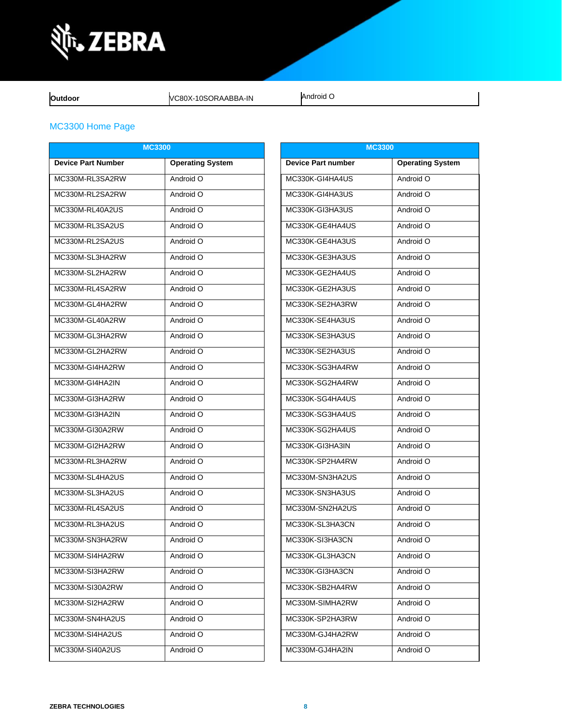

**Outdoor VC80X-10SORAABBA-IN** Android O

### MC3300 [Home Page](https://www.zebra.com/us/en/support-downloads/mobile-computers/handheld/mc3300.html)

| <b>MC3300</b>             |                         | <b>MC3300</b>             |                         |  |
|---------------------------|-------------------------|---------------------------|-------------------------|--|
| <b>Device Part Number</b> | <b>Operating System</b> | <b>Device Part number</b> | <b>Operating System</b> |  |
| MC330M-RL3SA2RW           | Android O               | MC330K-GI4HA4US           | Android O               |  |
| MC330M-RL2SA2RW           | Android O               | MC330K-GI4HA3US           | Android O               |  |
| MC330M-RL40A2US           | Android O               | MC330K-GI3HA3US           | Android O               |  |
| MC330M-RL3SA2US           | Android O               | MC330K-GE4HA4US           | Android O               |  |
| MC330M-RL2SA2US           | Android O               | MC330K-GE4HA3US           | Android O               |  |
| MC330M-SL3HA2RW           | Android O               | MC330K-GE3HA3US           | Android O               |  |
| MC330M-SL2HA2RW           | Android O               | MC330K-GE2HA4US           | Android O               |  |
| MC330M-RL4SA2RW           | Android O               | MC330K-GE2HA3US           | Android O               |  |
| MC330M-GL4HA2RW           | Android O               | MC330K-SE2HA3RW           | Android O               |  |
| MC330M-GL40A2RW           | Android O               | MC330K-SE4HA3US           | Android O               |  |
| MC330M-GL3HA2RW           | Android O               | MC330K-SE3HA3US           | Android O               |  |
| MC330M-GL2HA2RW           | Android O               | MC330K-SE2HA3US           | Android O               |  |
| MC330M-GI4HA2RW           | Android O               | MC330K-SG3HA4RW           | Android O               |  |
| MC330M-GI4HA2IN           | Android O               | MC330K-SG2HA4RW           | Android O               |  |
| MC330M-GI3HA2RW           | Android O               | MC330K-SG4HA4US           | Android O               |  |
| MC330M-GI3HA2IN           | Android O               | MC330K-SG3HA4US           | Android O               |  |
| MC330M-GI30A2RW           | Android O               | MC330K-SG2HA4US           | Android O               |  |
| MC330M-GI2HA2RW           | Android O               | MC330K-GI3HA3IN           | Android O               |  |
| MC330M-RL3HA2RW           | Android O               | MC330K-SP2HA4RW           | Android O               |  |
| MC330M-SL4HA2US           | Android O               | MC330M-SN3HA2US           | Android O               |  |
| MC330M-SL3HA2US           | Android O               | MC330K-SN3HA3US           | Android O               |  |
| MC330M-RL4SA2US           | Android O               | MC330M-SN2HA2US           | Android O               |  |
| MC330M-RL3HA2US           | Android O               | MC330K-SL3HA3CN           | Android O               |  |
| MC330M-SN3HA2RW           | Android O               | MC330K-SI3HA3CN           | Android O               |  |
| MC330M-SI4HA2RW           | Android O               | MC330K-GL3HA3CN           | Android O               |  |
| MC330M-SI3HA2RW           | Android O               | MC330K-GI3HA3CN           | Android O               |  |
| MC330M-SI30A2RW           | Android O               | MC330K-SB2HA4RW           | Android O               |  |
| MC330M-SI2HA2RW           | Android O               | MC330M-SIMHA2RW           | Android O               |  |
| MC330M-SN4HA2US           | Android O               | MC330K-SP2HA3RW           | Android O               |  |
| MC330M-SI4HA2US           | Android O               | MC330M-GJ4HA2RW           | Android O               |  |
| MC330M-SI40A2US           | Android O               | MC330M-GJ4HA2IN           | Android O               |  |

| <b>MC3300</b>             |                         |  |
|---------------------------|-------------------------|--|
| <b>Device Part number</b> | <b>Operating System</b> |  |
| MC330K-GI4HA4US           | Android O               |  |
| MC330K-GI4HA3US           | Android O               |  |
| MC330K-GI3HA3US           | Android O               |  |
| MC330K-GE4HA4US           | Android O               |  |
| MC330K-GE4HA3US           | Android O               |  |
| MC330K-GE3HA3US           | Android O               |  |
| MC330K-GE2HA4US           | Android O               |  |
| MC330K-GE2HA3US           | Android O               |  |
| MC330K-SE2HA3RW           | Android O               |  |
| MC330K-SE4HA3US           | Android O               |  |
| MC330K-SE3HA3US           | Android O               |  |
| MC330K-SE2HA3US           | Android O               |  |
| MC330K-SG3HA4RW           | Android O               |  |
| MC330K-SG2HA4RW           | Android O               |  |
| MC330K-SG4HA4US           | Android O               |  |
| MC330K-SG3HA4US           | Android O               |  |
| MC330K-SG2HA4US           | Android O               |  |
| MC330K-GI3HA3IN           | Android O               |  |
| MC330K-SP2HA4RW           | Android O               |  |
| MC330M-SN3HA2US           | Android O               |  |
| MC330K-SN3HA3US           | Android O               |  |
| MC330M-SN2HA2US           | Android O               |  |
| MC330K-SL3HA3CN           | Android O               |  |
| MC330K-SI3HA3CN           | Android O               |  |
| MC330K-GL3HA3CN           | Android O               |  |
| MC330K-GI3HA3CN           | Android O               |  |
| MC330K-SB2HA4RW           | Android O               |  |
| MC330M-SIMHA2RW           | Android O               |  |
| MC330K-SP2HA3RW           | Android O               |  |
| MC330M-GJ4HA2RW           | Android O               |  |
| MC330M-GJ4HA2IN           | Android O               |  |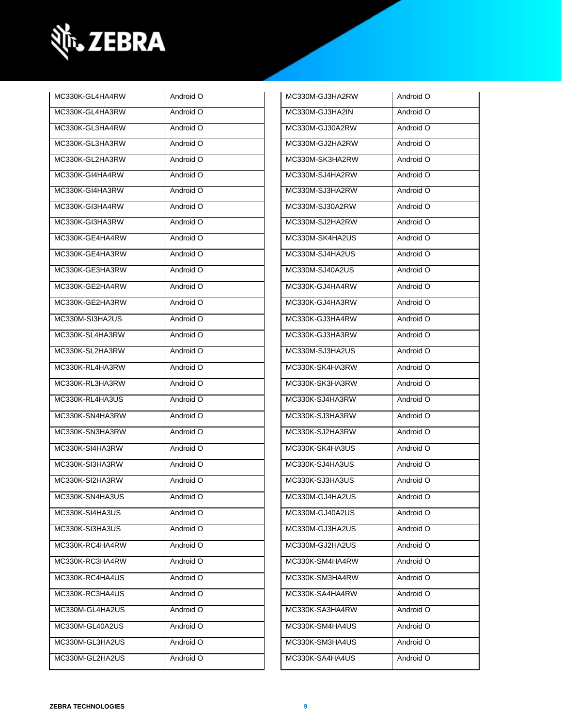

| MC330K-GL4HA4RW | Android O | MC330M-GJ3HA2RW | Android O |
|-----------------|-----------|-----------------|-----------|
| MC330K-GL4HA3RW | Android O | MC330M-GJ3HA2IN | Android O |
| MC330K-GL3HA4RW | Android O | MC330M-GJ30A2RW | Android O |
| MC330K-GL3HA3RW | Android O | MC330M-GJ2HA2RW | Android O |
| MC330K-GL2HA3RW | Android O | MC330M-SK3HA2RW | Android O |
| MC330K-GI4HA4RW | Android O | MC330M-SJ4HA2RW | Android O |
| MC330K-GI4HA3RW | Android O | MC330M-SJ3HA2RW | Android O |
| MC330K-GI3HA4RW | Android O | MC330M-SJ30A2RW | Android O |
| MC330K-GI3HA3RW | Android O | MC330M-SJ2HA2RW | Android O |
| MC330K-GE4HA4RW | Android O | MC330M-SK4HA2US | Android O |
| MC330K-GE4HA3RW | Android O | MC330M-SJ4HA2US | Android O |
| MC330K-GE3HA3RW | Android O | MC330M-SJ40A2US | Android O |
| MC330K-GE2HA4RW | Android O | MC330K-GJ4HA4RW | Android O |
| MC330K-GE2HA3RW | Android O | MC330K-GJ4HA3RW | Android O |
| MC330M-SI3HA2US | Android O | MC330K-GJ3HA4RW | Android O |
| MC330K-SL4HA3RW | Android O | MC330K-GJ3HA3RW | Android O |
| MC330K-SL2HA3RW | Android O | MC330M-SJ3HA2US | Android O |
| MC330K-RL4HA3RW | Android O | MC330K-SK4HA3RW | Android O |
| MC330K-RL3HA3RW | Android O | MC330K-SK3HA3RW | Android O |
| MC330K-RL4HA3US | Android O | MC330K-SJ4HA3RW | Android O |
| MC330K-SN4HA3RW | Android O | MC330K-SJ3HA3RW | Android O |
| MC330K-SN3HA3RW | Android O | MC330K-SJ2HA3RW | Android O |
| MC330K-SI4HA3RW | Android O | MC330K-SK4HA3US | Android O |
| MC330K-SI3HA3RW | Android O | MC330K-SJ4HA3US | Android O |
| MC330K-SI2HA3RW | Android O | MC330K-SJ3HA3US | Android O |
| MC330K-SN4HA3US | Android O | MC330M-GJ4HA2US | Android O |
| MC330K-SI4HA3US | Android O | MC330M-GJ40A2US | Android O |
| MC330K-SI3HA3US | Android O | MC330M-GJ3HA2US | Android O |
| MC330K-RC4HA4RW | Android O | MC330M-GJ2HA2US | Android O |
| MC330K-RC3HA4RW | Android O | MC330K-SM4HA4RW | Android O |
| MC330K-RC4HA4US | Android O | MC330K-SM3HA4RW | Android O |
| MC330K-RC3HA4US | Android O | MC330K-SA4HA4RW | Android O |
| MC330M-GL4HA2US | Android O | MC330K-SA3HA4RW | Android O |
| MC330M-GL40A2US | Android O | MC330K-SM4HA4US | Android O |
| MC330M-GL3HA2US | Android O | MC330K-SM3HA4US | Android O |
| MC330M-GL2HA2US | Android O | MC330K-SA4HA4US | Android O |
|                 |           |                 |           |

| MC330M-GJ3HA2IN | Android O |
|-----------------|-----------|
| MC330M-GJ30A2RW | Android O |
| MC330M-GJ2HA2RW | Android O |
| MC330M-SK3HA2RW | Android O |
| MC330M-SJ4HA2RW | Android O |
| MC330M-SJ3HA2RW | Android O |
| MC330M-SJ30A2RW | Android O |
| MC330M-SJ2HA2RW | Android O |
| MC330M-SK4HA2US | Android O |
| MC330M-SJ4HA2US | Android O |
| MC330M-SJ40A2US | Android O |
| MC330K-GJ4HA4RW | Android O |
| MC330K-GJ4HA3RW | Android O |
| MC330K-GJ3HA4RW | Android O |
| MC330K-GJ3HA3RW | Android O |
| MC330M-SJ3HA2US | Android O |
| MC330K-SK4HA3RW | Android O |
| MC330K-SK3HA3RW | Android O |
| MC330K-SJ4HA3RW | Android O |
| MC330K-SJ3HA3RW | Android O |
| MC330K-SJ2HA3RW | Android O |
| MC330K-SK4HA3US | Android O |
| MC330K-SJ4HA3US | Android O |
| MC330K-SJ3HA3US | Android O |
| MC330M-GJ4HA2US | Android O |
| MC330M-GJ40A2US | Android O |
| MC330M-GJ3HA2US | Android O |
| MC330M-GJ2HA2US | Android O |
| MC330K-SM4HA4RW | Android O |
| MC330K-SM3HA4RW | Android O |
| MC330K-SA4HA4RW | Android O |
| MC330K-SA3HA4RW | Android O |
| MC330K-SM4HA4US | Android O |
| MC330K-SM3HA4US | Android O |
| MC330K-SA4HA4US | Android O |
|                 |           |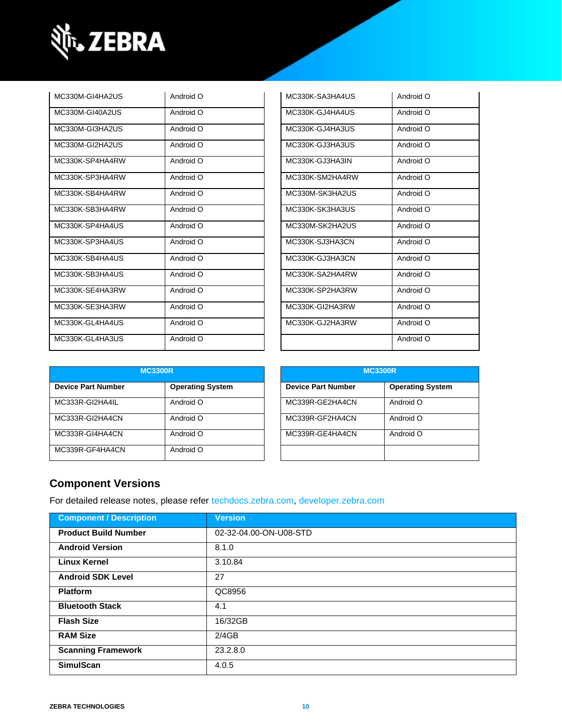

| MC330M-GI4HA2US | Android O | MC330K-SA3HA4US | Android O |
|-----------------|-----------|-----------------|-----------|
| MC330M-GI40A2US | Android O | MC330K-GJ4HA4US | Android O |
| MC330M-GI3HA2US | Android O | MC330K-GJ4HA3US | Android O |
| MC330M-GI2HA2US | Android O | MC330K-GJ3HA3US | Android O |
| MC330K-SP4HA4RW | Android O | MC330K-GJ3HA3IN | Android O |
| MC330K-SP3HA4RW | Android O | MC330K-SM2HA4RW | Android O |
| MC330K-SB4HA4RW | Android O | MC330M-SK3HA2US | Android O |
| MC330K-SB3HA4RW | Android O | MC330K-SK3HA3US | Android O |
| MC330K-SP4HA4US | Android O | MC330M-SK2HA2US | Android O |
| MC330K-SP3HA4US | Android O | MC330K-SJ3HA3CN | Android O |
| MC330K-SB4HA4US | Android O | MC330K-GJ3HA3CN | Android O |
| MC330K-SB3HA4US | Android O | MC330K-SA2HA4RW | Android O |
| MC330K-SE4HA3RW | Android O | MC330K-SP2HA3RW | Android O |
| MC330K-SE3HA3RW | Android O | MC330K-GI2HA3RW | Android O |
| MC330K-GL4HA4US | Android O | MC330K-GJ2HA3RW | Android O |
| MC330K-GL4HA3US | Android O |                 | Android O |

| MC330K-SA3HA4US | Android O |
|-----------------|-----------|
| MC330K-GJ4HA4US | Android O |
| MC330K-GJ4HA3US | Android O |
| MC330K-GJ3HA3US | Android O |
| MC330K-GJ3HA3IN | Android O |
| MC330K-SM2HA4RW | Android O |
| MC330M-SK3HA2US | Android O |
| MC330K-SK3HA3US | Android O |
| MC330M-SK2HA2US | Android O |
| MC330K-SJ3HA3CN | Android O |
| MC330K-GJ3HA3CN | Android O |
| MC330K-SA2HA4RW | Android O |
| MC330K-SP2HA3RW | Android O |
| MC330K-GI2HA3RW | Android O |
| MC330K-GJ2HA3RW | Android O |
|                 | Android O |

| <b>MC3300R</b>            |                         |                           | <b>MC3300R</b> |                         |
|---------------------------|-------------------------|---------------------------|----------------|-------------------------|
| <b>Device Part Number</b> | <b>Operating System</b> | <b>Device Part Number</b> |                | <b>Operating System</b> |
| MC333R-GI2HA4IL           | Android O               | MC339R-GE2HA4CN           |                | Android O               |
| MC333R-GI2HA4CN           | Android O               | MC339R-GF2HA4CN           |                | Android O               |
| MC333R-GI4HA4CN           | Android O               | MC339R-GE4HA4CN           |                | Android O               |
| MC339R-GF4HA4CN           | Android O               |                           |                |                         |

| <b>MC3300R</b>            |                         |  |
|---------------------------|-------------------------|--|
| <b>Device Part Number</b> | <b>Operating System</b> |  |
| MC339R-GE2HA4CN           | Android O               |  |
| MC339R-GF2HA4CN           | Android O               |  |
| MC339R-GE4HA4CN           | Android O               |  |
|                           |                         |  |

### **Component Versions**

For detailed release notes, please refer [techdocs.zebra.com,](https://techdocs.zebra.com/) [developer.zebra.com](https://developer.zebra.com/)

| <b>Component / Description</b> | <b>Version</b>         |
|--------------------------------|------------------------|
| <b>Product Build Number</b>    | 02-32-04.00-ON-U08-STD |
| <b>Android Version</b>         | 8.1.0                  |
| <b>Linux Kernel</b>            | 3.10.84                |
| <b>Android SDK Level</b>       | 27                     |
| <b>Platform</b>                | QC8956                 |
| <b>Bluetooth Stack</b>         | 4.1                    |
| <b>Flash Size</b>              | 16/32GB                |
| <b>RAM Size</b>                | 2/4GB                  |
| <b>Scanning Framework</b>      | 23.2.8.0               |
| <b>SimulScan</b>               | 4.0.5                  |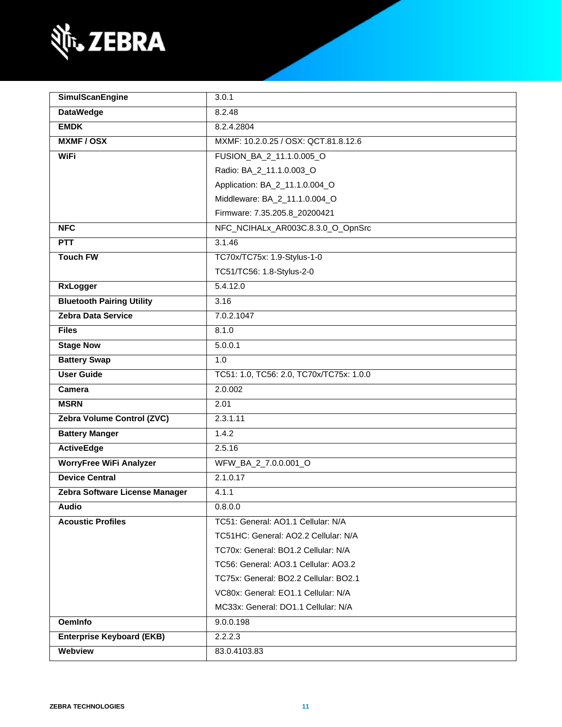

| <b>SimulScanEngine</b>           | 3.0.1                                    |  |
|----------------------------------|------------------------------------------|--|
| <b>DataWedge</b>                 | 8.2.48                                   |  |
| <b>EMDK</b>                      | 8.2.4.2804                               |  |
| <b>MXMF/OSX</b>                  | MXMF: 10.2.0.25 / OSX: QCT.81.8.12.6     |  |
| <b>WiFi</b>                      | FUSION_BA_2_11.1.0.005_O                 |  |
|                                  | Radio: BA_2_11.1.0.003_O                 |  |
|                                  | Application: BA_2_11.1.0.004_O           |  |
|                                  | Middleware: BA_2_11.1.0.004_O            |  |
|                                  | Firmware: 7.35.205.8_20200421            |  |
| <b>NFC</b>                       | NFC_NCIHALx_AR003C.8.3.0_O_OpnSrc        |  |
| PTT                              | 3.1.46                                   |  |
| <b>Touch FW</b>                  | TC70x/TC75x: 1.9-Stylus-1-0              |  |
|                                  | TC51/TC56: 1.8-Stylus-2-0                |  |
| <b>RxLogger</b>                  | 5.4.12.0                                 |  |
| <b>Bluetooth Pairing Utility</b> | 3.16                                     |  |
| <b>Zebra Data Service</b>        | 7.0.2.1047                               |  |
| <b>Files</b>                     | 8.1.0                                    |  |
| <b>Stage Now</b>                 | 5.0.0.1                                  |  |
| <b>Battery Swap</b>              | 1.0                                      |  |
| <b>User Guide</b>                | TC51: 1.0, TC56: 2.0, TC70x/TC75x: 1.0.0 |  |
| Camera                           | 2.0.002                                  |  |
| <b>MSRN</b>                      | 2.01                                     |  |
| Zebra Volume Control (ZVC)       | 2.3.1.11                                 |  |
| <b>Battery Manger</b>            | 1.4.2                                    |  |
| <b>ActiveEdge</b>                | 2.5.16                                   |  |
| <b>WorryFree WiFi Analyzer</b>   | WFW_BA_2_7.0.0.001_O                     |  |
| <b>Device Central</b>            | 2.1.0.17                                 |  |
| Zebra Software License Manager   | 4.1.1                                    |  |
| <b>Audio</b>                     | 0.8.0.0                                  |  |
| <b>Acoustic Profiles</b>         | TC51: General: AO1.1 Cellular: N/A       |  |
|                                  | TC51HC: General: AO2.2 Cellular: N/A     |  |
|                                  | TC70x: General: BO1.2 Cellular: N/A      |  |
|                                  | TC56: General: AO3.1 Cellular: AO3.2     |  |
|                                  | TC75x: General: BO2.2 Cellular: BO2.1    |  |
|                                  | VC80x: General: EO1.1 Cellular: N/A      |  |
|                                  | MC33x: General: DO1.1 Cellular: N/A      |  |
| <b>OemInfo</b>                   | 9.0.0.198                                |  |
| <b>Enterprise Keyboard (EKB)</b> | 2.2.2.3                                  |  |
| Webview                          | 83.0.4103.83                             |  |